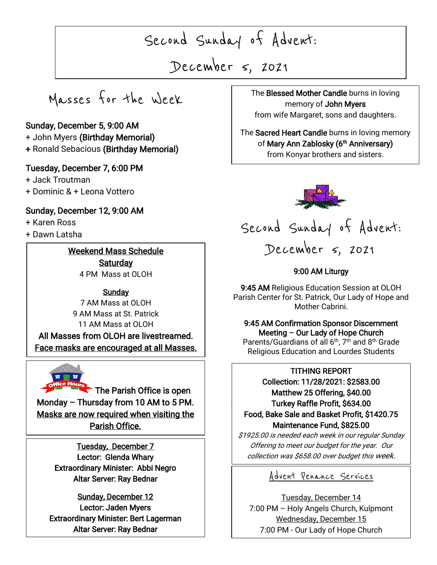Second Sunday of Advent:

December 5, 2021

 $\overline{\phantom{a}}$ 

Masses for the Week

### Sunday, December 5, 9:00 AM

- + John Myers (Birthday Memorial)
- + Ronald Sebacious (Birthday Memorial)

### Tuesday, December 7, 6:00 PM

+ Jack Troutman

+ Dominic & + Leona Vottero

### Sunday, December 12, 9:00 AM

+ Karen Ross

I

I

I

I

 $\overline{\phantom{a}}$ 

+ Dawn Latsha

### Weekend Mass Schedule

**Saturday** 4 PM Mass at OLOH

### Sunday

7 AM Mass at OLOH 9 AM Mass at St. Patrick 11 AM Mass at OLOH All Masses from OLOH are livestreamed. Face masks are encouraged at all Masses.



The Parish Office is open Monday – Thursday from 10 AM to 5 PM. Masks are now required when visiting the Parish Office.

> Tuesday, December 7 Lector: Glenda Whary Extraordinary Minister: Abbi Negro Altar Server: Ray Bednar

Sunday, December 12 Lector: Jaden Myers Extraordinary Minister: Bert Lagerman Altar Server: Ray Bednar

, 2021 The Blessed Mother Candle burns in loving memory of John Myers from wife Margaret, sons and daughters.

> The Sacred Heart Candle burns in loving memory of **Mary Ann Zablosky (6<sup>th</sup> Anniversary)**

mary ram Easterny (Committeed<br>from Konyar brothers and sisters. ֺ





### 9:00 AM Liturgy

9:45 AM Religious Education Session at OLOH Parish Center for St. Patrick, Our Lady of Hope and Mother Cabrini.

9:45 AM Confirmation Sponsor Discernment Meeting – Our Lady of Hope Church

Parents/Guardians of all 6<sup>th</sup>, 7<sup>th</sup> and 8<sup>th</sup> Grade Religious Education and Lourdes Students

### TITHING REPORT

 Collection: 11/28/2021: \$2583.00  $\vert$ Matthew 25 Offering, \$40.00 Turkey Raffle Profit, \$634.00 Food, Bake Sale and Basket Profit, \$1420.75 Maintenance Fund, \$825.00

\$1925.00 is needed each week in our regular Sunday Offering to meet our budget for the year. Our collection was \$658.00 over budget this week.

### Advent Penance Services

Tuesday, December 14 7:00 PM – Holy Angels Church, Kulpmont Wednesday, December 15 7:00 PM - Our Lady of Hope Church